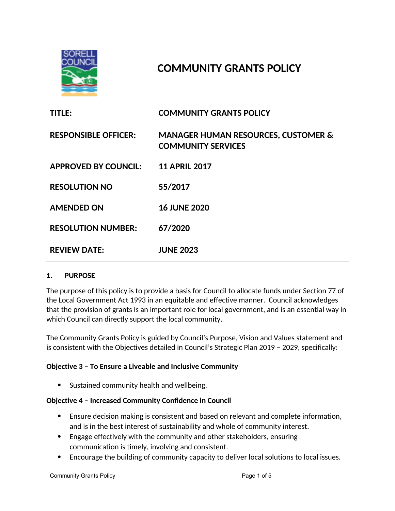

# **COMMUNITY GRANTS POLICY**

| <b>TITLE:</b>               | <b>COMMUNITY GRANTS POLICY</b>                                              |
|-----------------------------|-----------------------------------------------------------------------------|
| <b>RESPONSIBLE OFFICER:</b> | <b>MANAGER HUMAN RESOURCES, CUSTOMER &amp;</b><br><b>COMMUNITY SERVICES</b> |
| <b>APPROVED BY COUNCIL:</b> | <b>11 APRIL 2017</b>                                                        |
| <b>RESOLUTION NO</b>        | 55/2017                                                                     |
| <b>AMENDED ON</b>           | <b>16 JUNE 2020</b>                                                         |
| <b>RESOLUTION NUMBER:</b>   | 67/2020                                                                     |
| <b>REVIEW DATE:</b>         | <b>JUNE 2023</b>                                                            |

#### **1. PURPOSE**

The purpose of this policy is to provide a basis for Council to allocate funds under Section 77 of the Local Government Act 1993 in an equitable and effective manner. Council acknowledges that the provision of grants is an important role for local government, and is an essential way in which Council can directly support the local community.

The Community Grants Policy is guided by Council's Purpose, Vision and Values statement and is consistent with the Objectives detailed in Council's Strategic Plan 2019 – 2029, specifically:

#### **Objective 3 – To Ensure a Liveable and Inclusive Community**

• Sustained community health and wellbeing.

#### **Objective 4 – Increased Community Confidence in Council**

- Ensure decision making is consistent and based on relevant and complete information, and is in the best interest of sustainability and whole of community interest.
- Engage effectively with the community and other stakeholders, ensuring communication is timely, involving and consistent.
- Encourage the building of community capacity to deliver local solutions to local issues.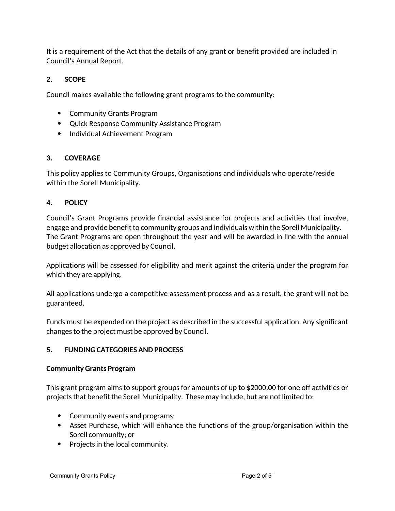It is a requirement of the Act that the details of any grant or benefit provided are included in Council's Annual Report.

# **2. SCOPE**

Council makes available the following grant programs to the community:

- Community Grants Program
- Quick Response Community Assistance Program
- Individual Achievement Program

## **3. COVERAGE**

This policy applies to Community Groups, Organisations and individuals who operate/reside within the Sorell Municipality.

# **4. POLICY**

Council's Grant Programs provide financial assistance for projects and activities that involve, engage and provide benefit to community groups and individuals within the Sorell Municipality. The Grant Programs are open throughout the year and will be awarded in line with the annual budget allocation as approved by Council.

Applications will be assessed for eligibility and merit against the criteria under the program for which they are applying.

All applications undergo a competitive assessment process and as a result, the grant will not be guaranteed.

Funds must be expended on the project as described in the successful application. Any significant changes to the project must be approved by Council.

## **5. FUNDING CATEGORIES AND PROCESS**

## **Community Grants Program**

This grant program aims to support groups for amounts of up to \$2000.00 for one off activities or projects that benefit the Sorell Municipality. These may include, but are not limited to:

- Community events and programs;
- Asset Purchase, which will enhance the functions of the group/organisation within the Sorell community; or
- Projects in the local community.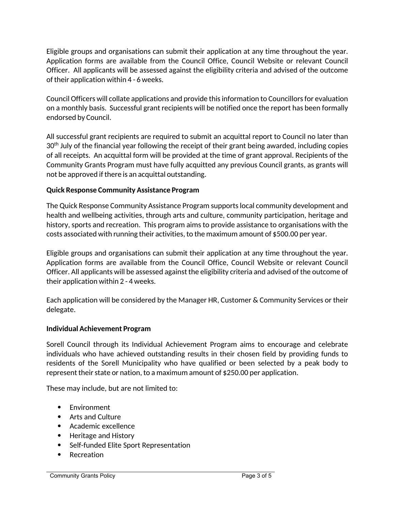Eligible groups and organisations can submit their application at any time throughout the year. Application forms are available from the Council Office, Council Website or relevant Council Officer. All applicants will be assessed against the eligibility criteria and advised of the outcome of their application within 4 - 6 weeks.

Council Officers will collate applications and provide this information to Councillors for evaluation on a monthly basis. Successful grant recipients will be notified once the report has been formally endorsed by Council.

All successful grant recipients are required to submit an acquittal report to Council no later than 30<sup>th</sup> July of the financial year following the receipt of their grant being awarded, including copies of all receipts. An acquittal form will be provided at the time of grant approval. Recipients of the Community Grants Program must have fully acquitted any previous Council grants, as grants will not be approved if there is an acquittal outstanding.

## **Quick Response Community Assistance Program**

The Quick Response Community Assistance Program supports local community development and health and wellbeing activities, through arts and culture, community participation, heritage and history, sports and recreation. This program aims to provide assistance to organisations with the costs associated with running their activities, to the maximum amount of \$500.00 per year.

Eligible groups and organisations can submit their application at any time throughout the year. Application forms are available from the Council Office, Council Website or relevant Council Officer. All applicants will be assessed against the eligibility criteria and advised of the outcome of their application within 2 - 4 weeks.

Each application will be considered by the Manager HR, Customer & Community Services or their delegate.

## **Individual Achievement Program**

Sorell Council through its Individual Achievement Program aims to encourage and celebrate individuals who have achieved outstanding results in their chosen field by providing funds to residents of the Sorell Municipality who have qualified or been selected by a peak body to represent their state or nation, to a maximum amount of \$250.00 per application.

These may include, but are not limited to:

- Environment
- Arts and Culture
- Academic excellence
- Heritage and History
- Self-funded Elite Sport Representation
- Recreation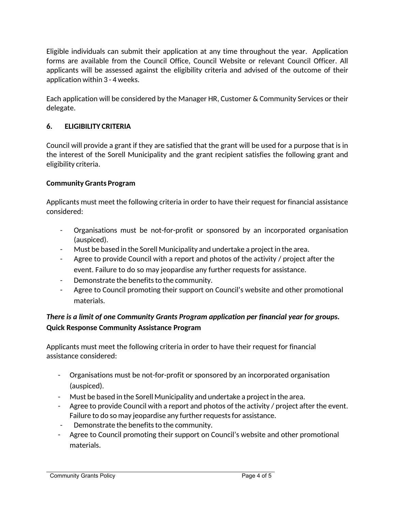Eligible individuals can submit their application at any time throughout the year. Application forms are available from the Council Office, Council Website or relevant Council Officer. All applicants will be assessed against the eligibility criteria and advised of the outcome of their application within 3 - 4 weeks.

Each application will be considered by the Manager HR, Customer & Community Services or their delegate.

## **6. ELIGIBILITY CRITERIA**

Council will provide a grant if they are satisfied that the grant will be used for a purpose that is in the interest of the Sorell Municipality and the grant recipient satisfies the following grant and eligibility criteria.

#### **Community Grants Program**

Applicants must meet the following criteria in order to have their request for financial assistance considered:

- Organisations must be not-for-profit or sponsored by an incorporated organisation (auspiced).
- Must be based in the Sorell Municipality and undertake a project in the area.
- Agree to provide Council with a report and photos of the activity / project after the event. Failure to do so may jeopardise any further requests for assistance.
- Demonstrate the benefits to the community.
- Agree to Council promoting their support on Council's website and other promotional materials.

# *There is a limit of one Community Grants Program application per financial year for groups.* **Quick Response Community Assistance Program**

Applicants must meet the following criteria in order to have their request for financial assistance considered:

- Organisations must be not-for-profit or sponsored by an incorporated organisation (auspiced).
- Must be based in the Sorell Municipality and undertake a project in the area.
- Agree to provide Council with a report and photos of the activity / project after the event. Failure to do so may jeopardise any further requests for assistance.
- Demonstrate the benefits to the community.
- Agree to Council promoting their support on Council's website and other promotional materials.